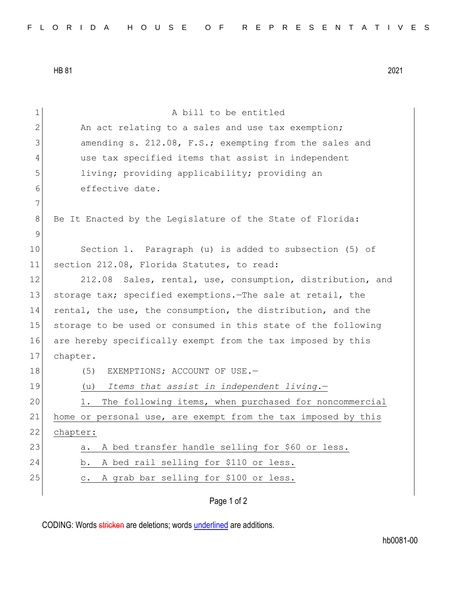HB 81 2021

| $\mathbf 1$  | A bill to be entitled                                         |
|--------------|---------------------------------------------------------------|
| $\mathbf{2}$ | An act relating to a sales and use tax exemption;             |
| 3            | amending s. 212.08, F.S.; exempting from the sales and        |
| 4            | use tax specified items that assist in independent            |
| 5            | living; providing applicability; providing an                 |
| 6            | effective date.                                               |
| 7            |                                                               |
| 8            | Be It Enacted by the Legislature of the State of Florida:     |
| $\mathsf 9$  |                                                               |
| 10           | Section 1. Paragraph (u) is added to subsection (5) of        |
| 11           | section 212.08, Florida Statutes, to read:                    |
| 12           | 212.08 Sales, rental, use, consumption, distribution, and     |
| 13           | storage tax; specified exemptions. The sale at retail, the    |
| 14           | rental, the use, the consumption, the distribution, and the   |
| 15           | storage to be used or consumed in this state of the following |
| 16           | are hereby specifically exempt from the tax imposed by this   |
| 17           | chapter.                                                      |
| 18           | (5)<br>EXEMPTIONS; ACCOUNT OF USE.-                           |
| 19           | Items that assist in independent living.-<br>(u)              |
| 20           | The following items, when purchased for noncommercial<br>1.   |
| 21           | home or personal use, are exempt from the tax imposed by this |
| 22           | chapter:                                                      |
| 23           | A bed transfer handle selling for \$60 or less.<br>а.         |
| 24           | A bed rail selling for \$110 or less.<br>b.                   |
| 25           | A grab bar selling for \$100 or less.<br>$\circ$ .            |
|              | Page 1 of 2                                                   |

CODING: Words stricken are deletions; words underlined are additions.